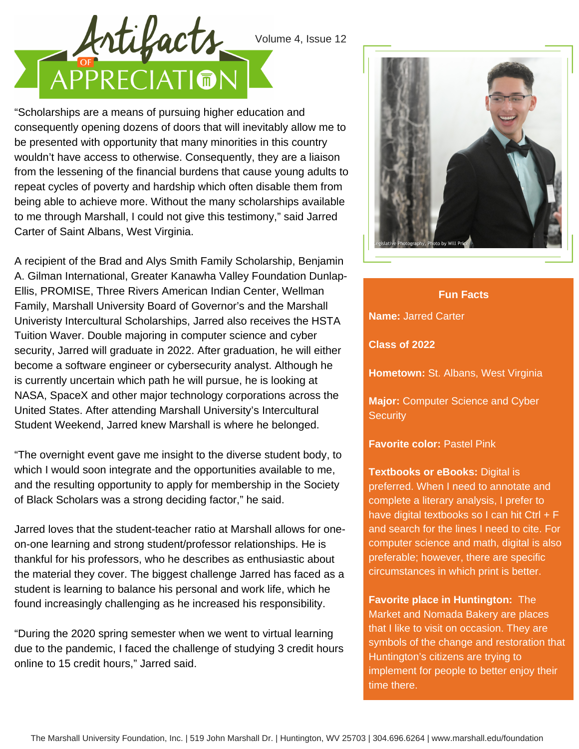## Volume 4, Issue 12



"Scholarships are a means of pursuing higher education and consequently opening dozens of doors that will inevitably allow me to be presented with opportunity that many minorities in this country wouldn't have access to otherwise. Consequently, they are a liaison from the lessening of the financial burdens that cause young adults to repeat cycles of poverty and hardship which often disable them from being able to achieve more. Without the many scholarships available to me through Marshall, I could not give this testimony," said Jarred Carter of Saint Albans, West Virginia.

A recipient of the Brad and Alys Smith Family Scholarship, Benjamin A. Gilman International, Greater Kanawha Valley Foundation Dunlap-Ellis, PROMISE, Three Rivers American Indian Center, Wellman Family, Marshall University Board of Governor's and the Marshall Univeristy Intercultural Scholarships, Jarred also receives the HSTA Tuition Waver. Double majoring in computer science and cyber security, Jarred will graduate in 2022. After graduation, he will either become a software engineer or cybersecurity analyst. Although he is currently uncertain which path he will pursue, he is looking at NASA, SpaceX and other major technology corporations across the United States. After attending Marshall University's Intercultural Student Weekend, Jarred knew Marshall is where he belonged.

"The overnight event gave me insight to the diverse student body, to which I would soon integrate and the opportunities available to me, and the resulting opportunity to apply for membership in the Society of Black Scholars was a strong deciding factor," he said.

Jarred loves that the student-teacher ratio at Marshall allows for oneon-one learning and strong student/professor relationships. He is thankful for his professors, who he describes as enthusiastic about the material they cover. The biggest challenge Jarred has faced as a student is learning to balance his personal and work life, which he found increasingly challenging as he increased his responsibility.

"During the 2020 spring semester when we went to virtual learning due to the pandemic, I faced the challenge of studying 3 credit hours online to 15 credit hours," Jarred said.



**Name:** Jarred Carter **Class of 2022 Hometown:** St. Albans, West Virginia **Major:** Computer Science and Cyber **Security Fun Facts**

**Favorite color:** Pastel Pink

**Textbooks or eBooks:** Digital is preferred. When I need to annotate and complete a literary analysis, I prefer to have digital textbooks so I can hit Ctrl + F and search for the lines I need to cite. For computer science and math, digital is also preferable; however, there are specific circumstances in which print is better.

**Favorite place in Huntington:** The Market and Nomada Bakery are places that I like to visit on occasion. They are symbols of the change and restoration that Huntington's citizens are trying to implement for people to better enjoy their time there.